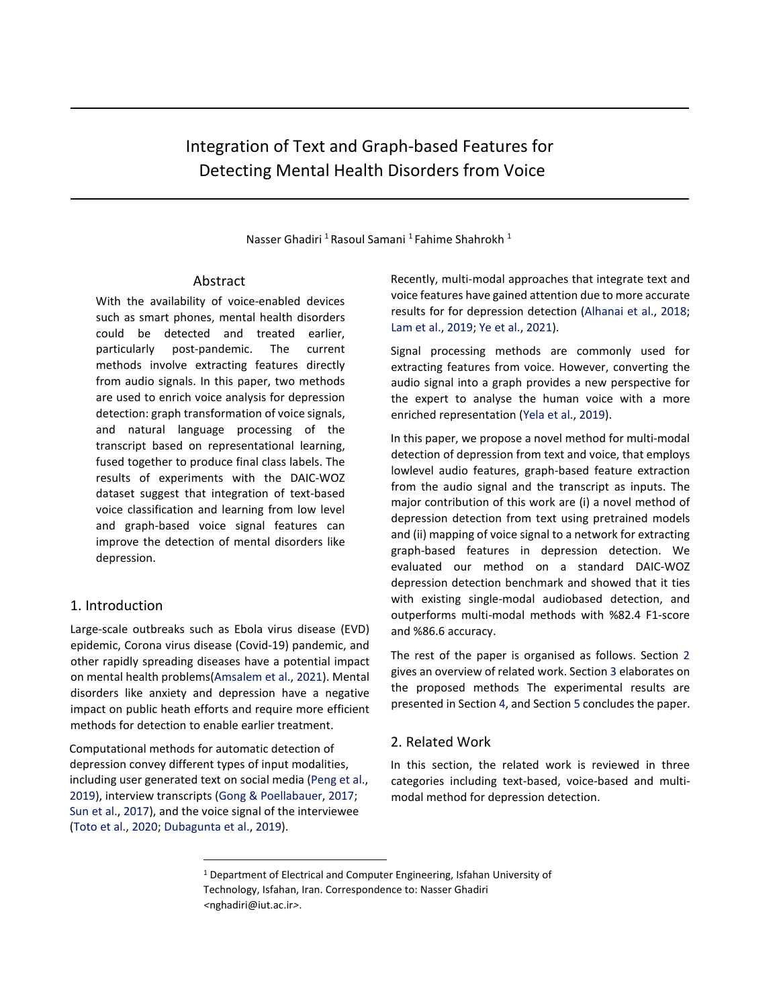# Integration of Text and Graph-based Features for Detecting Mental Health Disorders from Voice

Nasser Ghadiri <sup>1</sup> Rasoul Samani <sup>1</sup> Fahime Shahrokh <sup>1</sup>

# Abstract

With the availability of voice-enabled devices such as smart phones, mental health disorders could be detected and treated earlier, particularly post-pandemic. The current methods involve extracting features directly from audio signals. In this paper, two methods are used to enrich voice analysis for depression detection: graph transformation of voice signals, and natural language processing of the transcript based on representational learning, fused together to produce final class labels. The results of experiments with the DAIC-WOZ dataset suggest that integration of text-based voice classification and learning from low level and graph-based voice signal features can improve the detection of mental disorders like depression.

# 1. Introduction

Large-scale outbreaks such as Ebola virus disease (EVD) epidemic, Corona virus disease (Covid-19) pandemic, and other rapidly spreading diseases have a potential impact on mental health problems(Amsalem et al., 2021). Mental disorders like anxiety and depression have a negative impact on public heath efforts and require more efficient methods for detection to enable earlier treatment.

Computational methods for automatic detection of depression convey different types of input modalities, including user generated text on social media (Peng et al., 2019), interview transcripts (Gong & Poellabauer, 2017; Sun et al., 2017), and the voice signal of the interviewee (Toto et al., 2020; Dubagunta et al., 2019).

Recently, multi-modal approaches that integrate text and voice features have gained attention due to more accurate results for for depression detection (Alhanai et al., 2018; Lam et al., 2019; Ye et al., 2021).

Signal processing methods are commonly used for extracting features from voice. However, converting the audio signal into a graph provides a new perspective for the expert to analyse the human voice with a more enriched representation (Yela et al., 2019).

In this paper, we propose a novel method for multi-modal detection of depression from text and voice, that employs lowlevel audio features, graph-based feature extraction from the audio signal and the transcript as inputs. The major contribution of this work are (i) a novel method of depression detection from text using pretrained models and (ii) mapping of voice signal to a network for extracting graph-based features in depression detection. We evaluated our method on a standard DAIC-WOZ depression detection benchmark and showed that it ties with existing single-modal audiobased detection, and outperforms multi-modal methods with %82.4 F1-score and %86.6 accuracy.

The rest of the paper is organised as follows. Section 2 gives an overview of related work. Section 3 elaborates on the proposed methods The experimental results are presented in Section 4, and Section 5 concludes the paper.

### 2. Related Work

In this section, the related work is reviewed in three categories including text-based, voice-based and multimodal method for depression detection.

<sup>&</sup>lt;sup>1</sup> Department of Electrical and Computer Engineering, Isfahan University of Technology, Isfahan, Iran. Correspondence to: Nasser Ghadiri *<*nghadiri@iut.ac.ir*>*.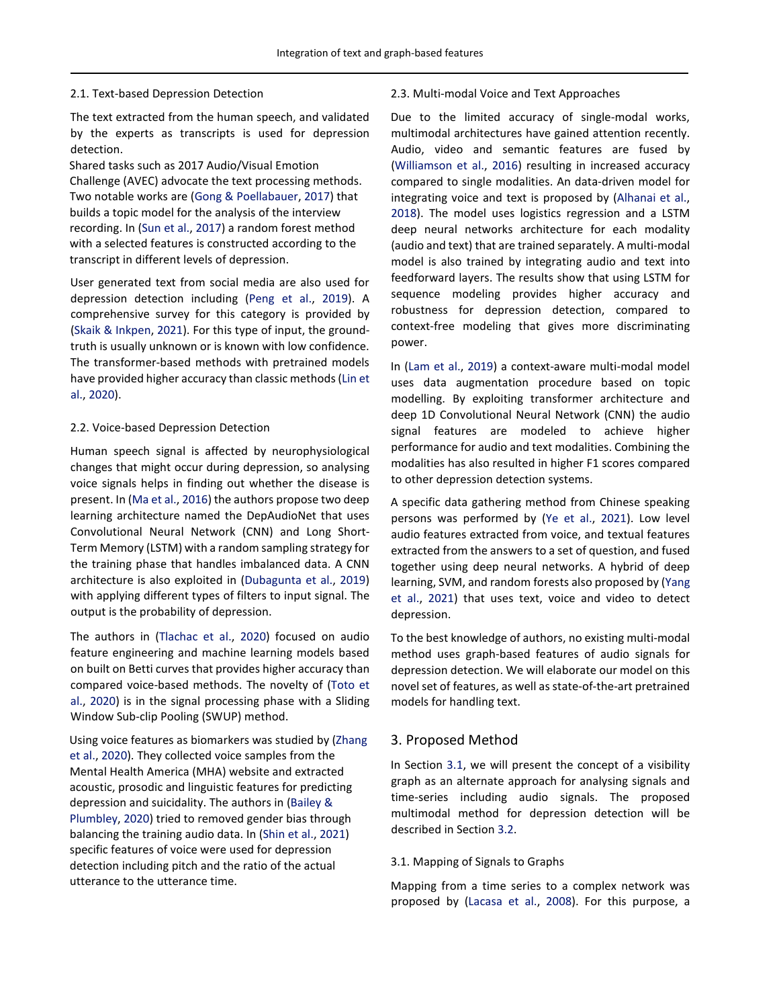#### 2.1. Text-based Depression Detection

The text extracted from the human speech, and validated by the experts as transcripts is used for depression detection.

Shared tasks such as 2017 Audio/Visual Emotion Challenge (AVEC) advocate the text processing methods. Two notable works are (Gong & Poellabauer, 2017) that builds a topic model for the analysis of the interview recording. In (Sun et al., 2017) a random forest method with a selected features is constructed according to the transcript in different levels of depression.

User generated text from social media are also used for depression detection including (Peng et al., 2019). A comprehensive survey for this category is provided by (Skaik & Inkpen, 2021). For this type of input, the groundtruth is usually unknown or is known with low confidence. The transformer-based methods with pretrained models have provided higher accuracy than classic methods (Lin et al., 2020).

#### 2.2. Voice-based Depression Detection

Human speech signal is affected by neurophysiological changes that might occur during depression, so analysing voice signals helps in finding out whether the disease is present. In (Ma et al., 2016) the authors propose two deep learning architecture named the DepAudioNet that uses Convolutional Neural Network (CNN) and Long Short-Term Memory (LSTM) with a random sampling strategy for the training phase that handles imbalanced data. A CNN architecture is also exploited in (Dubagunta et al., 2019) with applying different types of filters to input signal. The output is the probability of depression.

The authors in (Tlachac et al., 2020) focused on audio feature engineering and machine learning models based on built on Betti curves that provides higher accuracy than compared voice-based methods. The novelty of (Toto et al., 2020) is in the signal processing phase with a Sliding Window Sub-clip Pooling (SWUP) method.

Using voice features as biomarkers was studied by (Zhang et al., 2020). They collected voice samples from the Mental Health America (MHA) website and extracted acoustic, prosodic and linguistic features for predicting depression and suicidality. The authors in (Bailey & Plumbley, 2020) tried to removed gender bias through balancing the training audio data. In (Shin et al., 2021) specific features of voice were used for depression detection including pitch and the ratio of the actual utterance to the utterance time.

#### 2.3. Multi-modal Voice and Text Approaches

Due to the limited accuracy of single-modal works, multimodal architectures have gained attention recently. Audio, video and semantic features are fused by (Williamson et al., 2016) resulting in increased accuracy compared to single modalities. An data-driven model for integrating voice and text is proposed by (Alhanai et al., 2018). The model uses logistics regression and a LSTM deep neural networks architecture for each modality (audio and text) that are trained separately. A multi-modal model is also trained by integrating audio and text into feedforward layers. The results show that using LSTM for sequence modeling provides higher accuracy and robustness for depression detection, compared to context-free modeling that gives more discriminating power.

In (Lam et al., 2019) a context-aware multi-modal model uses data augmentation procedure based on topic modelling. By exploiting transformer architecture and deep 1D Convolutional Neural Network (CNN) the audio signal features are modeled to achieve higher performance for audio and text modalities. Combining the modalities has also resulted in higher F1 scores compared to other depression detection systems.

A specific data gathering method from Chinese speaking persons was performed by (Ye et al., 2021). Low level audio features extracted from voice, and textual features extracted from the answers to a set of question, and fused together using deep neural networks. A hybrid of deep learning, SVM, and random forests also proposed by (Yang et al., 2021) that uses text, voice and video to detect depression.

To the best knowledge of authors, no existing multi-modal method uses graph-based features of audio signals for depression detection. We will elaborate our model on this novel set of features, as well as state-of-the-art pretrained models for handling text.

#### 3. Proposed Method

In Section 3.1, we will present the concept of a visibility graph as an alternate approach for analysing signals and time-series including audio signals. The proposed multimodal method for depression detection will be described in Section 3.2.

#### 3.1. Mapping of Signals to Graphs

Mapping from a time series to a complex network was proposed by (Lacasa et al., 2008). For this purpose, a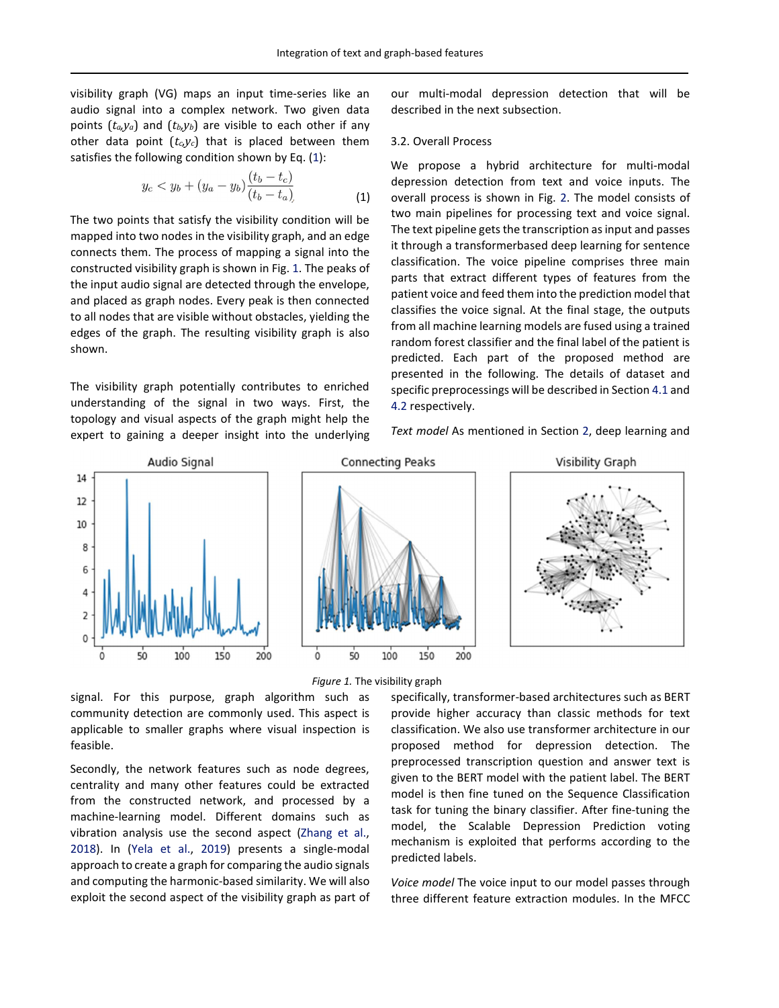visibility graph (VG) maps an input time-series like an audio signal into a complex network. Two given data points  $(t_a,y_a)$  and  $(t_b,y_b)$  are visible to each other if any other data point  $(t_c, y_c)$  that is placed between them satisfies the following condition shown by Eq. (1):

$$
y_c < y_b + (y_a - y_b) \frac{(t_b - t_c)}{(t_b - t_a)}\tag{1}
$$

The two points that satisfy the visibility condition will be mapped into two nodes in the visibility graph, and an edge connects them. The process of mapping a signal into the constructed visibility graph is shown in Fig. 1. The peaks of the input audio signal are detected through the envelope, and placed as graph nodes. Every peak is then connected to all nodes that are visible without obstacles, yielding the edges of the graph. The resulting visibility graph is also shown.

The visibility graph potentially contributes to enriched understanding of the signal in two ways. First, the topology and visual aspects of the graph might help the expert to gaining a deeper insight into the underlying

our multi-modal depression detection that will be described in the next subsection.

#### 3.2. Overall Process

We propose a hybrid architecture for multi-modal depression detection from text and voice inputs. The overall process is shown in Fig. 2. The model consists of two main pipelines for processing text and voice signal. The text pipeline gets the transcription as input and passes it through a transformerbased deep learning for sentence classification. The voice pipeline comprises three main parts that extract different types of features from the patient voice and feed them into the prediction model that classifies the voice signal. At the final stage, the outputs from all machine learning models are fused using a trained random forest classifier and the final label of the patient is predicted. Each part of the proposed method are presented in the following. The details of dataset and specific preprocessings will be described in Section 4.1 and 4.2 respectively.

*Text model* As mentioned in Section 2, deep learning and



*Figure 1.* The visibility graph

signal. For this purpose, graph algorithm such as community detection are commonly used. This aspect is applicable to smaller graphs where visual inspection is feasible.

Secondly, the network features such as node degrees, centrality and many other features could be extracted from the constructed network, and processed by a machine-learning model. Different domains such as vibration analysis use the second aspect (Zhang et al., 2018). In (Yela et al., 2019) presents a single-modal approach to create a graph for comparing the audio signals and computing the harmonic-based similarity. We will also exploit the second aspect of the visibility graph as part of specifically, transformer-based architectures such as BERT provide higher accuracy than classic methods for text classification. We also use transformer architecture in our proposed method for depression detection. The preprocessed transcription question and answer text is given to the BERT model with the patient label. The BERT model is then fine tuned on the Sequence Classification task for tuning the binary classifier. After fine-tuning the model, the Scalable Depression Prediction voting mechanism is exploited that performs according to the predicted labels.

*Voice model* The voice input to our model passes through three different feature extraction modules. In the MFCC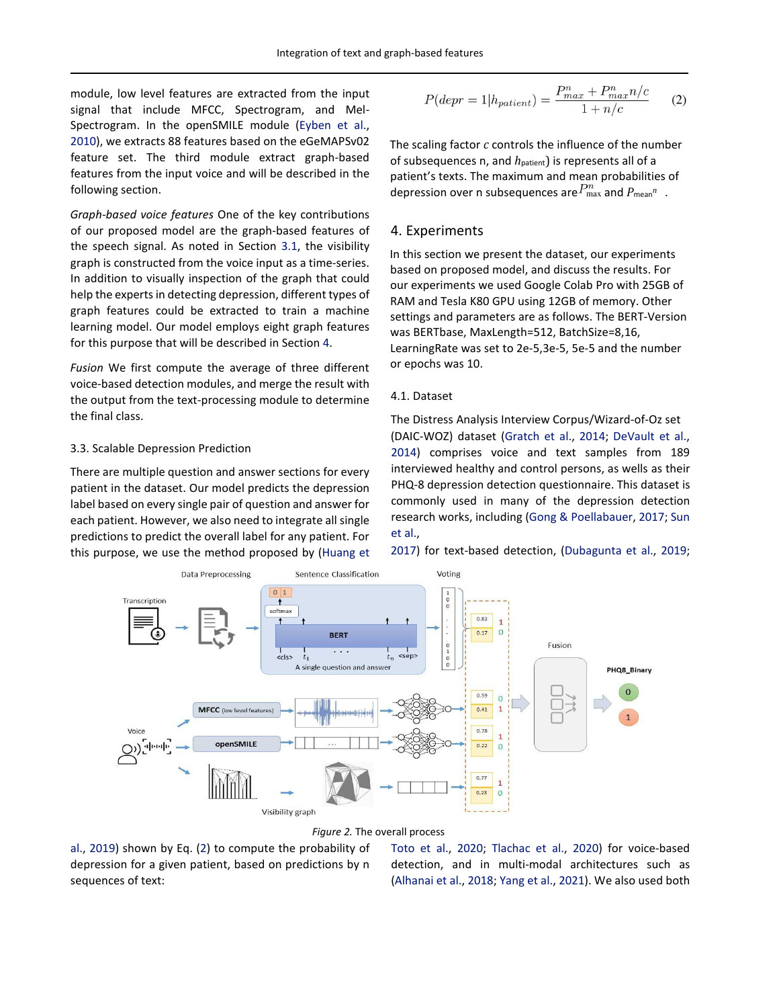module, low level features are extracted from the input signal that include MFCC, Spectrogram, and Mel-Spectrogram. In the openSMILE module (Eyben et al., 2010), we extracts 88 features based on the eGeMAPSv02 feature set. The third module extract graph-based features from the input voice and will be described in the following section.

*Graph-based voice features* One of the key contributions of our proposed model are the graph-based features of the speech signal. As noted in Section 3.1, the visibility graph is constructed from the voice input as a time-series. In addition to visually inspection of the graph that could help the experts in detecting depression, different types of graph features could be extracted to train a machine learning model. Our model employs eight graph features for this purpose that will be described in Section 4.

*Fusion* We first compute the average of three different voice-based detection modules, and merge the result with the output from the text-processing module to determine the final class.

#### 3.3. Scalable Depression Prediction

There are multiple question and answer sections for every patient in the dataset. Our model predicts the depression label based on every single pair of question and answer for each patient. However, we also need to integrate all single predictions to predict the overall label for any patient. For this purpose, we use the method proposed by (Huang et

$$
P(depr = 1 | hpatient) = \frac{P_{max}^n + P_{max}^n / c}{1 + n/c}
$$
 (2)

The scaling factor *c* controls the influence of the number of subsequences n, and  $h_{\text{pattern}}$ ) is represents all of a patient's texts. The maximum and mean probabilities of depression over n subsequences are $P_{\text{max}}^n$  and  $P_{\text{mean}}^n$  .

#### 4. Experiments

In this section we present the dataset, our experiments based on proposed model, and discuss the results. For our experiments we used Google Colab Pro with 25GB of RAM and Tesla K80 GPU using 12GB of memory. Other settings and parameters are as follows. The BERT-Version was BERTbase, MaxLength=512, BatchSize=8,16, LearningRate was set to 2e-5,3e-5, 5e-5 and the number or epochs was 10.

#### 4.1. Dataset

The Distress Analysis Interview Corpus/Wizard-of-Oz set (DAIC-WOZ) dataset (Gratch et al., 2014; DeVault et al., 2014) comprises voice and text samples from 189 interviewed healthy and control persons, as wells as their PHQ-8 depression detection questionnaire. This dataset is commonly used in many of the depression detection research works, including (Gong & Poellabauer, 2017; Sun et al.,

2017) for text-based detection, (Dubagunta et al., 2019;



#### *Figure 2.* The overall process

al., 2019) shown by Eq. (2) to compute the probability of depression for a given patient, based on predictions by n sequences of text:

Toto et al., 2020; Tlachac et al., 2020) for voice-based detection, and in multi-modal architectures such as (Alhanai et al., 2018; Yang et al., 2021). We also used both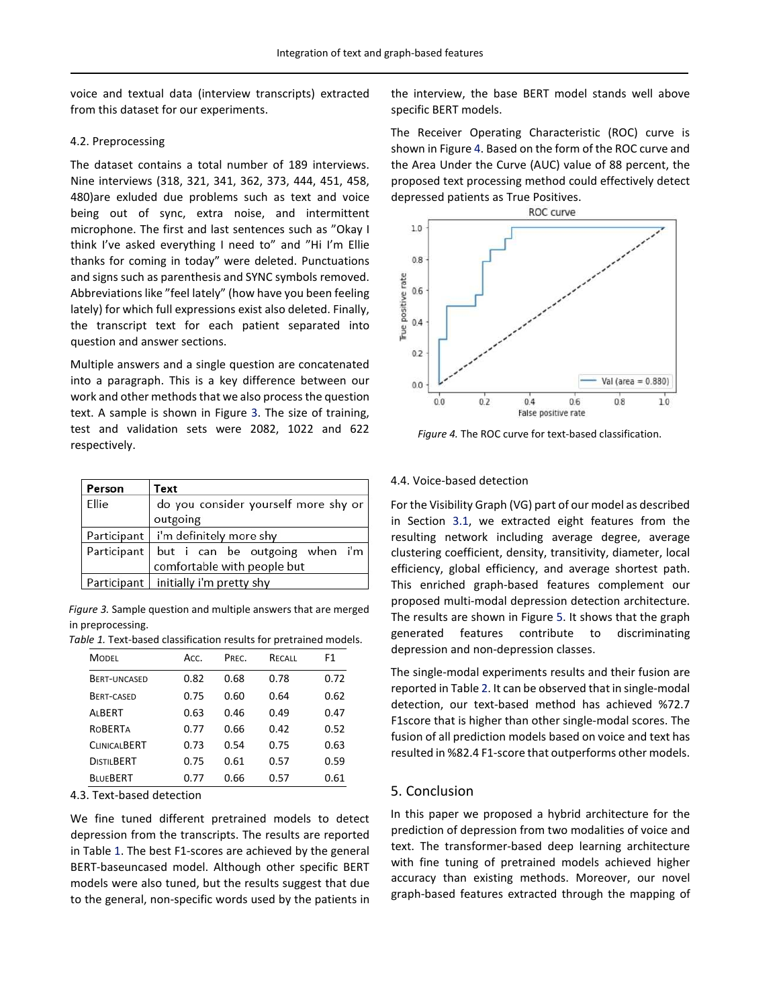voice and textual data (interview transcripts) extracted from this dataset for our experiments.

#### 4.2. Preprocessing

The dataset contains a total number of 189 interviews. Nine interviews (318, 321, 341, 362, 373, 444, 451, 458, 480)are exluded due problems such as text and voice being out of sync, extra noise, and intermittent microphone. The first and last sentences such as "Okay I think I've asked everything I need to" and "Hi I'm Ellie thanks for coming in today" were deleted. Punctuations and signs such as parenthesis and SYNC symbols removed. Abbreviations like "feel lately" (how have you been feeling lately) for which full expressions exist also deleted. Finally, the transcript text for each patient separated into question and answer sections.

Multiple answers and a single question are concatenated into a paragraph. This is a key difference between our work and other methods that we also process the question text. A sample is shown in Figure 3. The size of training, test and validation sets were 2082, 1022 and 622 respectively.

| Person      | Text                                                          |  |  |  |
|-------------|---------------------------------------------------------------|--|--|--|
| Ellie       | do you consider yourself more shy or                          |  |  |  |
|             | outgoing                                                      |  |  |  |
|             | Participant   i'm definitely more shy                         |  |  |  |
| Participant | but i can be outgoing when i'm<br>comfortable with people but |  |  |  |
|             | Participant   initially i'm pretty shy                        |  |  |  |

*Figure 3.* Sample question and multiple answers that are merged in preprocessing.

| Table 1. Text-based classification results for pretrained models. |  |  |  |  |
|-------------------------------------------------------------------|--|--|--|--|
|-------------------------------------------------------------------|--|--|--|--|

| <b>MODEL</b>        | Acc. | PRFC. | RECALL | F1   |
|---------------------|------|-------|--------|------|
| <b>BERT-UNCASED</b> | 0.82 | 0.68  | 0.78   | 0.72 |
| BERT-CASED          | 0.75 | 0.60  | 0.64   | 0.62 |
| ALBERT              | 0.63 | 0.46  | 0.49   | 0.47 |
| <b>ROBERTA</b>      | 0.77 | 0.66  | 0.42   | 0.52 |
| <b>CLINICALBERT</b> | 0.73 | 0.54  | 0.75   | 0.63 |
| <b>DISTILBERT</b>   | 0.75 | 0.61  | 0.57   | 0.59 |
| <b>BLUEBERT</b>     | 0.77 | 0.66  | 0.57   | 0.61 |

4.3. Text-based detection

We fine tuned different pretrained models to detect depression from the transcripts. The results are reported in Table 1. The best F1-scores are achieved by the general BERT-baseuncased model. Although other specific BERT models were also tuned, but the results suggest that due to the general, non-specific words used by the patients in the interview, the base BERT model stands well above specific BERT models.

The Receiver Operating Characteristic (ROC) curve is shown in Figure 4. Based on the form of the ROC curve and the Area Under the Curve (AUC) value of 88 percent, the proposed text processing method could effectively detect depressed patients as True Positives.



*Figure 4.* The ROC curve for text-based classification.

#### 4.4. Voice-based detection

For the Visibility Graph (VG) part of our model as described in Section 3.1, we extracted eight features from the resulting network including average degree, average clustering coefficient, density, transitivity, diameter, local efficiency, global efficiency, and average shortest path. This enriched graph-based features complement our proposed multi-modal depression detection architecture. The results are shown in Figure 5. It shows that the graph generated features contribute to discriminating depression and non-depression classes.

The single-modal experiments results and their fusion are reported in Table 2. It can be observed that in single-modal detection, our text-based method has achieved %72.7 F1score that is higher than other single-modal scores. The fusion of all prediction models based on voice and text has resulted in %82.4 F1-score that outperforms other models.

### 5. Conclusion

In this paper we proposed a hybrid architecture for the prediction of depression from two modalities of voice and text. The transformer-based deep learning architecture with fine tuning of pretrained models achieved higher accuracy than existing methods. Moreover, our novel graph-based features extracted through the mapping of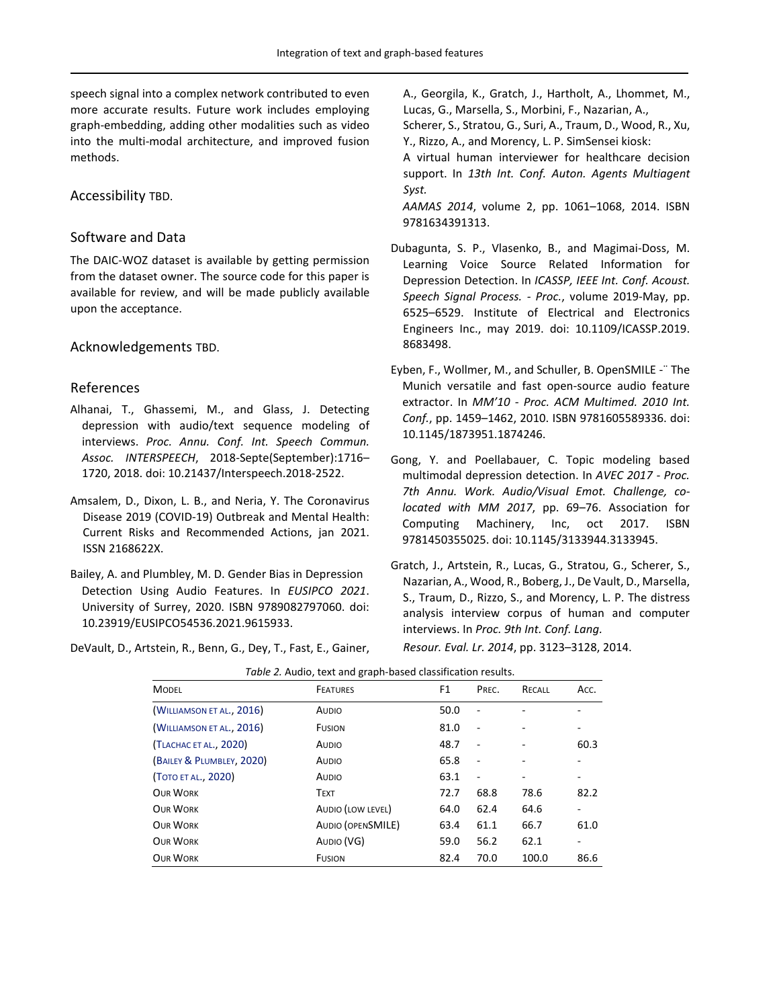speech signal into a complex network contributed to even more accurate results. Future work includes employing graph-embedding, adding other modalities such as video into the multi-modal architecture, and improved fusion methods.

# Accessibility TBD.

## Software and Data

The DAIC-WOZ dataset is available by getting permission from the dataset owner. The source code for this paper is available for review, and will be made publicly available upon the acceptance.

### Acknowledgements TBD.

### References

- Alhanai, T., Ghassemi, M., and Glass, J. Detecting depression with audio/text sequence modeling of interviews. *Proc. Annu. Conf. Int. Speech Commun. Assoc. INTERSPEECH*, 2018-Septe(September):1716– 1720, 2018. doi: 10.21437/Interspeech.2018-2522.
- Amsalem, D., Dixon, L. B., and Neria, Y. The Coronavirus Disease 2019 (COVID-19) Outbreak and Mental Health: Current Risks and Recommended Actions, jan 2021. ISSN 2168622X.
- Bailey, A. and Plumbley, M. D. Gender Bias in Depression Detection Using Audio Features. In *EUSIPCO 2021*. University of Surrey, 2020. ISBN 9789082797060. doi: 10.23919/EUSIPCO54536.2021.9615933.
- DeVault, D., Artstein, R., Benn, G., Dey, T., Fast, E., Gainer,

A., Georgila, K., Gratch, J., Hartholt, A., Lhommet, M., Lucas, G., Marsella, S., Morbini, F., Nazarian, A.,

Scherer, S., Stratou, G., Suri, A., Traum, D., Wood, R., Xu, Y., Rizzo, A., and Morency, L. P. SimSensei kiosk:

A virtual human interviewer for healthcare decision support. In *13th Int. Conf. Auton. Agents Multiagent Syst.*

*AAMAS 2014*, volume 2, pp. 1061–1068, 2014. ISBN 9781634391313.

- Dubagunta, S. P., Vlasenko, B., and Magimai-Doss, M. Learning Voice Source Related Information for Depression Detection. In *ICASSP, IEEE Int. Conf. Acoust. Speech Signal Process. - Proc.*, volume 2019-May, pp. 6525–6529. Institute of Electrical and Electronics Engineers Inc., may 2019. doi: 10.1109/ICASSP.2019. 8683498.
- Eyben, F., Wollmer, M., and Schuller, B. OpenSMILE -¨ The Munich versatile and fast open-source audio feature extractor. In *MM'10 - Proc. ACM Multimed. 2010 Int. Conf.*, pp. 1459–1462, 2010. ISBN 9781605589336. doi: 10.1145/1873951.1874246.
- Gong, Y. and Poellabauer, C. Topic modeling based multimodal depression detection. In *AVEC 2017 - Proc. 7th Annu. Work. Audio/Visual Emot. Challenge, colocated with MM 2017*, pp. 69–76. Association for Computing Machinery, Inc, oct 2017. ISBN 9781450355025. doi: 10.1145/3133944.3133945.
- Gratch, J., Artstein, R., Lucas, G., Stratou, G., Scherer, S., Nazarian, A., Wood, R., Boberg, J., De Vault, D., Marsella, S., Traum, D., Rizzo, S., and Morency, L. P. The distress analysis interview corpus of human and computer interviews. In *Proc. 9th Int. Conf. Lang. Resour. Eval. Lr. 2014*, pp. 3123–3128, 2014.

| MODEL                     | <b>FEATURES</b>   | F1   | PREC.                    | RECALL | Acc. |
|---------------------------|-------------------|------|--------------------------|--------|------|
| (WILLIAMSON ET AL., 2016) | AUDIO             | 50.0 | $\overline{\phantom{0}}$ |        |      |
| (WILLIAMSON ET AL., 2016) | <b>FUSION</b>     | 81.0 | $\overline{\phantom{a}}$ |        | ۰    |
| (TLACHAC ET AL., 2020)    | AUDIO             | 48.7 |                          |        | 60.3 |
| (BAILEY & PLUMBLEY, 2020) | AUDIO             | 65.8 | $\overline{\phantom{m}}$ |        |      |
| (Тото ет al., 2020)       | AUDIO             | 63.1 | $\qquad \qquad -$        | ۰      |      |
| OUR WORK                  | <b>TEXT</b>       | 72.7 | 68.8                     | 78.6   | 82.2 |
| OUR WORK                  | AUDIO (LOW LEVEL) | 64.0 | 62.4                     | 64.6   |      |
| OUR WORK                  | AUDIO (OPENSMILE) | 63.4 | 61.1                     | 66.7   | 61.0 |
| OUR WORK                  | AUDIO (VG)        | 59.0 | 56.2                     | 62.1   |      |
| OUR WORK                  | <b>FUSION</b>     | 82.4 | 70.0                     | 100.0  | 86.6 |

*Table 2.* Audio, text and graph-based classification results.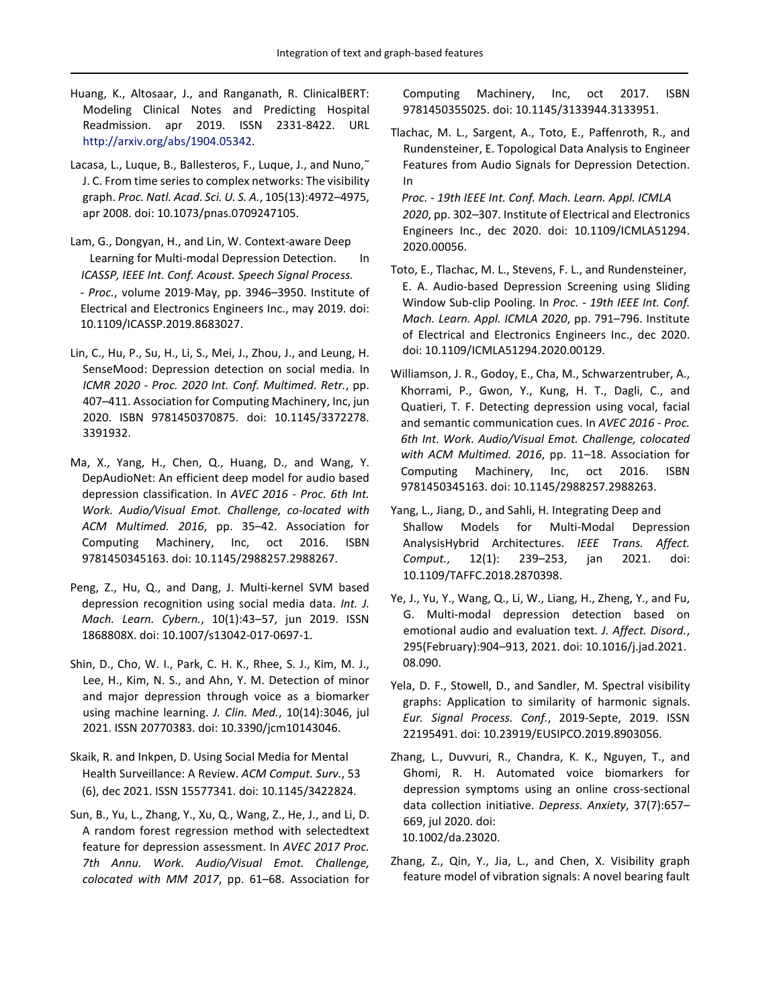- Huang, K., Altosaar, J., and Ranganath, R. ClinicalBERT: Modeling Clinical Notes and Predicting Hospital Readmission. apr 2019. ISSN 2331-8422. URL http://arxiv.org/abs/1904.05342.
- Lacasa, L., Luque, B., Ballesteros, F., Luque, J., and Nuno, J. C. From time series to complex networks: The visibility graph. *Proc. Natl. Acad. Sci. U. S. A.*, 105(13):4972–4975, apr 2008. doi: 10.1073/pnas.0709247105.
- Lam, G., Dongyan, H., and Lin, W. Context-aware Deep Learning for Multi-modal Depression Detection. In *ICASSP, IEEE Int. Conf. Acoust. Speech Signal Process. - Proc.*, volume 2019-May, pp. 3946–3950. Institute of Electrical and Electronics Engineers Inc., may 2019. doi: 10.1109/ICASSP.2019.8683027.
- Lin, C., Hu, P., Su, H., Li, S., Mei, J., Zhou, J., and Leung, H. SenseMood: Depression detection on social media. In *ICMR 2020 - Proc. 2020 Int. Conf. Multimed. Retr.*, pp. 407–411. Association for Computing Machinery, Inc, jun 2020. ISBN 9781450370875. doi: 10.1145/3372278. 3391932.
- Ma, X., Yang, H., Chen, Q., Huang, D., and Wang, Y. DepAudioNet: An efficient deep model for audio based depression classification. In *AVEC 2016 - Proc. 6th Int. Work. Audio/Visual Emot. Challenge, co-located with ACM Multimed. 2016*, pp. 35–42. Association for Computing Machinery, Inc, oct 2016. ISBN 9781450345163. doi: 10.1145/2988257.2988267.
- Peng, Z., Hu, Q., and Dang, J. Multi-kernel SVM based depression recognition using social media data. *Int. J. Mach. Learn. Cybern.*, 10(1):43–57, jun 2019. ISSN 1868808X. doi: 10.1007/s13042-017-0697-1.
- Shin, D., Cho, W. I., Park, C. H. K., Rhee, S. J., Kim, M. J., Lee, H., Kim, N. S., and Ahn, Y. M. Detection of minor and major depression through voice as a biomarker using machine learning. *J. Clin. Med.*, 10(14):3046, jul 2021. ISSN 20770383. doi: 10.3390/jcm10143046.
- Skaik, R. and Inkpen, D. Using Social Media for Mental Health Surveillance: A Review. *ACM Comput. Surv.*, 53 (6), dec 2021. ISSN 15577341. doi: 10.1145/3422824.
- Sun, B., Yu, L., Zhang, Y., Xu, Q., Wang, Z., He, J., and Li, D. A random forest regression method with selectedtext feature for depression assessment. In *AVEC 2017 Proc. 7th Annu. Work. Audio/Visual Emot. Challenge, colocated with MM 2017*, pp. 61–68. Association for

Computing Machinery, Inc, oct 2017. ISBN 9781450355025. doi: 10.1145/3133944.3133951.

- Tlachac, M. L., Sargent, A., Toto, E., Paffenroth, R., and Rundensteiner, E. Topological Data Analysis to Engineer Features from Audio Signals for Depression Detection. In
- *Proc. 19th IEEE Int. Conf. Mach. Learn. Appl. ICMLA 2020*, pp. 302–307. Institute of Electrical and Electronics Engineers Inc., dec 2020. doi: 10.1109/ICMLA51294. 2020.00056.
- Toto, E., Tlachac, M. L., Stevens, F. L., and Rundensteiner, E. A. Audio-based Depression Screening using Sliding Window Sub-clip Pooling. In *Proc. - 19th IEEE Int. Conf. Mach. Learn. Appl. ICMLA 2020*, pp. 791–796. Institute of Electrical and Electronics Engineers Inc., dec 2020. doi: 10.1109/ICMLA51294.2020.00129.
- Williamson, J. R., Godoy, E., Cha, M., Schwarzentruber, A., Khorrami, P., Gwon, Y., Kung, H. T., Dagli, C., and Quatieri, T. F. Detecting depression using vocal, facial and semantic communication cues. In *AVEC 2016 - Proc. 6th Int. Work. Audio/Visual Emot. Challenge, colocated with ACM Multimed. 2016*, pp. 11–18. Association for Computing Machinery, Inc, oct 2016. ISBN 9781450345163. doi: 10.1145/2988257.2988263.
- Yang, L., Jiang, D., and Sahli, H. Integrating Deep and Shallow Models for Multi-Modal Depression AnalysisHybrid Architectures. *IEEE Trans. Affect. Comput.*, 12(1): 239–253, jan 2021. doi: 10.1109/TAFFC.2018.2870398.
- Ye, J., Yu, Y., Wang, Q., Li, W., Liang, H., Zheng, Y., and Fu, G. Multi-modal depression detection based on emotional audio and evaluation text. *J. Affect. Disord.*, 295(February):904–913, 2021. doi: 10.1016/j.jad.2021. 08.090.
- Yela, D. F., Stowell, D., and Sandler, M. Spectral visibility graphs: Application to similarity of harmonic signals. *Eur. Signal Process. Conf.*, 2019-Septe, 2019. ISSN 22195491. doi: 10.23919/EUSIPCO.2019.8903056.
- Zhang, L., Duvvuri, R., Chandra, K. K., Nguyen, T., and Ghomi, R. H. Automated voice biomarkers for depression symptoms using an online cross-sectional data collection initiative. *Depress. Anxiety*, 37(7):657– 669, jul 2020. doi: 10.1002/da.23020.
- Zhang, Z., Qin, Y., Jia, L., and Chen, X. Visibility graph feature model of vibration signals: A novel bearing fault